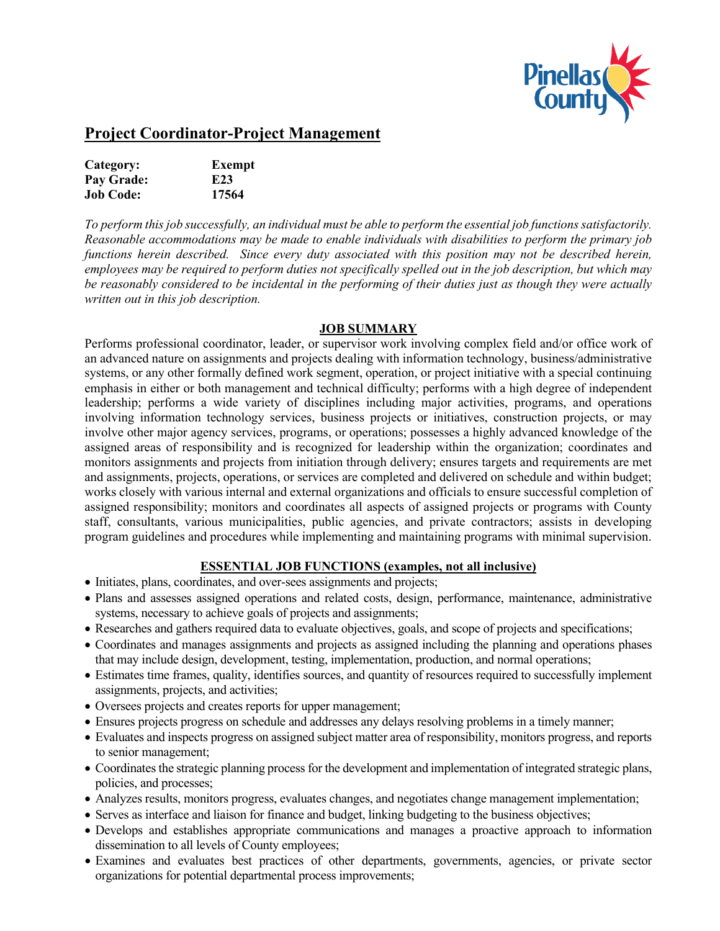

# **Project Coordinator-Project Management**

| Category:        | Exempt          |
|------------------|-----------------|
| Pay Grade:       | E <sub>23</sub> |
| <b>Job Code:</b> | 17564           |

*To perform this job successfully, an individual must be able to perform the essential job functions satisfactorily. Reasonable accommodations may be made to enable individuals with disabilities to perform the primary job functions herein described. Since every duty associated with this position may not be described herein, employees may be required to perform duties not specifically spelled out in the job description, but which may be reasonably considered to be incidental in the performing of their duties just as though they were actually written out in this job description.* 

#### **JOB SUMMARY**

Performs professional coordinator, leader, or supervisor work involving complex field and/or office work of an advanced nature on assignments and projects dealing with information technology, business/administrative systems, or any other formally defined work segment, operation, or project initiative with a special continuing emphasis in either or both management and technical difficulty; performs with a high degree of independent leadership; performs a wide variety of disciplines including major activities, programs, and operations involving information technology services, business projects or initiatives, construction projects, or may involve other major agency services, programs, or operations; possesses a highly advanced knowledge of the assigned areas of responsibility and is recognized for leadership within the organization; coordinates and monitors assignments and projects from initiation through delivery; ensures targets and requirements are met and assignments, projects, operations, or services are completed and delivered on schedule and within budget; works closely with various internal and external organizations and officials to ensure successful completion of assigned responsibility; monitors and coordinates all aspects of assigned projects or programs with County staff, consultants, various municipalities, public agencies, and private contractors; assists in developing program guidelines and procedures while implementing and maintaining programs with minimal supervision.

### **ESSENTIAL JOB FUNCTIONS (examples, not all inclusive)**

- Initiates, plans, coordinates, and over-sees assignments and projects;
- Plans and assesses assigned operations and related costs, design, performance, maintenance, administrative systems, necessary to achieve goals of projects and assignments;
- Researches and gathers required data to evaluate objectives, goals, and scope of projects and specifications;
- Coordinates and manages assignments and projects as assigned including the planning and operations phases that may include design, development, testing, implementation, production, and normal operations;
- Estimates time frames, quality, identifies sources, and quantity of resources required to successfully implement assignments, projects, and activities;
- Oversees projects and creates reports for upper management;
- Ensures projects progress on schedule and addresses any delays resolving problems in a timely manner;
- Evaluates and inspects progress on assigned subject matter area of responsibility, monitors progress, and reports to senior management;
- Coordinates the strategic planning process for the development and implementation of integrated strategic plans, policies, and processes;
- Analyzes results, monitors progress, evaluates changes, and negotiates change management implementation;
- Serves as interface and liaison for finance and budget, linking budgeting to the business objectives;
- Develops and establishes appropriate communications and manages a proactive approach to information dissemination to all levels of County employees;
- Examines and evaluates best practices of other departments, governments, agencies, or private sector organizations for potential departmental process improvements;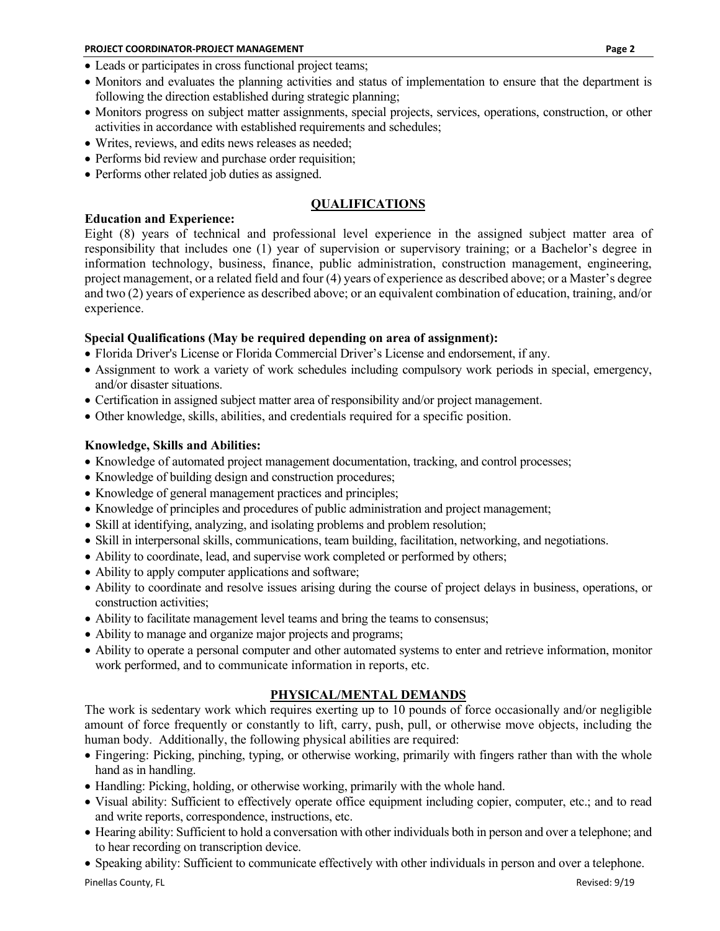- Leads or participates in cross functional project teams;
- Monitors and evaluates the planning activities and status of implementation to ensure that the department is following the direction established during strategic planning;
- Monitors progress on subject matter assignments, special projects, services, operations, construction, or other activities in accordance with established requirements and schedules;
- Writes, reviews, and edits news releases as needed;
- Performs bid review and purchase order requisition;
- Performs other related job duties as assigned.

## **QUALIFICATIONS**

#### **Education and Experience:**

Eight (8) years of technical and professional level experience in the assigned subject matter area of responsibility that includes one (1) year of supervision or supervisory training; or a Bachelor's degree in information technology, business, finance, public administration, construction management, engineering, project management, or a related field and four (4) years of experience as described above; or a Master's degree and two (2) years of experience as described above; or an equivalent combination of education, training, and/or experience.

#### **Special Qualifications (May be required depending on area of assignment):**

- Florida Driver's License or Florida Commercial Driver's License and endorsement, if any.
- Assignment to work a variety of work schedules including compulsory work periods in special, emergency, and/or disaster situations.
- Certification in assigned subject matter area of responsibility and/or project management.
- Other knowledge, skills, abilities, and credentials required for a specific position.

#### **Knowledge, Skills and Abilities:**

- Knowledge of automated project management documentation, tracking, and control processes;
- Knowledge of building design and construction procedures;
- Knowledge of general management practices and principles;
- Knowledge of principles and procedures of public administration and project management;
- Skill at identifying, analyzing, and isolating problems and problem resolution;
- Skill in interpersonal skills, communications, team building, facilitation, networking, and negotiations.
- Ability to coordinate, lead, and supervise work completed or performed by others;
- Ability to apply computer applications and software;
- Ability to coordinate and resolve issues arising during the course of project delays in business, operations, or construction activities;
- Ability to facilitate management level teams and bring the teams to consensus;
- Ability to manage and organize major projects and programs;
- Ability to operate a personal computer and other automated systems to enter and retrieve information, monitor work performed, and to communicate information in reports, etc.

### **PHYSICAL/MENTAL DEMANDS**

The work is sedentary work which requires exerting up to 10 pounds of force occasionally and/or negligible amount of force frequently or constantly to lift, carry, push, pull, or otherwise move objects, including the human body. Additionally, the following physical abilities are required:

- Fingering: Picking, pinching, typing, or otherwise working, primarily with fingers rather than with the whole hand as in handling.
- Handling: Picking, holding, or otherwise working, primarily with the whole hand.
- Visual ability: Sufficient to effectively operate office equipment including copier, computer, etc.; and to read and write reports, correspondence, instructions, etc.
- Hearing ability: Sufficient to hold a conversation with other individuals both in person and over a telephone; and to hear recording on transcription device.
- Speaking ability: Sufficient to communicate effectively with other individuals in person and over a telephone.